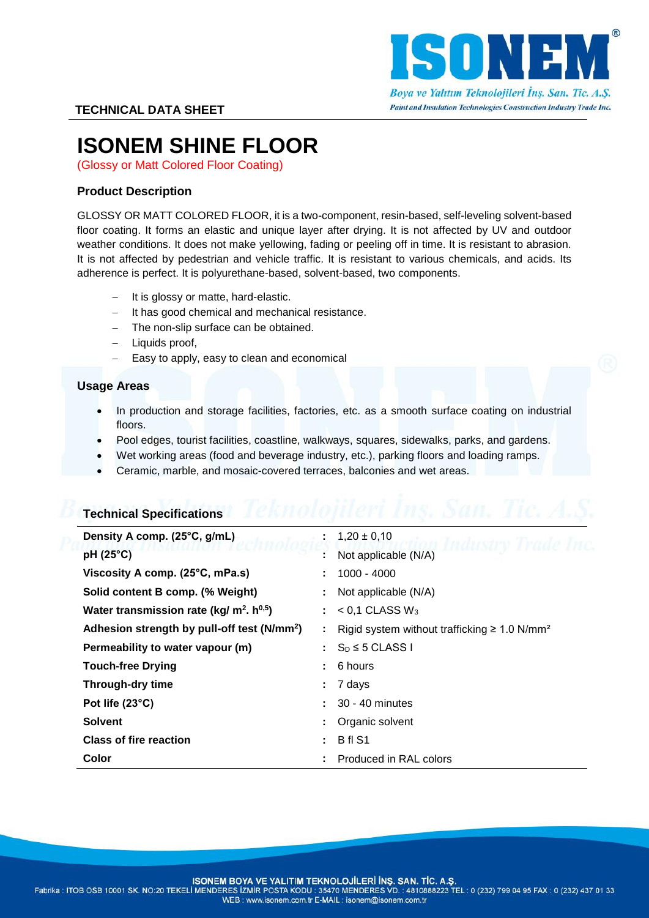

# **ISONEM SHINE FLOOR**

(Glossy or Matt Colored Floor Coating)

# **Product Description**

GLOSSY OR MATT COLORED FLOOR, it is a two-component, resin-based, self-leveling solvent-based floor coating. It forms an elastic and unique layer after drying. It is not affected by UV and outdoor weather conditions. It does not make yellowing, fading or peeling off in time. It is resistant to abrasion. It is not affected by pedestrian and vehicle traffic. It is resistant to various chemicals, and acids. Its adherence is perfect. It is polyurethane-based, solvent-based, two components.

- It is glossy or matte, hard-elastic.
- $-$  It has good chemical and mechanical resistance.
- The non-slip surface can be obtained.
- $-$  Liquids proof.
- Easy to apply, easy to clean and economical

### **Usage Areas**

- In production and storage facilities, factories, etc. as a smooth surface coating on industrial floors.
- Pool edges, tourist facilities, coastline, walkways, squares, sidewalks, parks, and gardens.
- Wet working areas (food and beverage industry, etc.), parking floors and loading ramps.
- Ceramic, marble, and mosaic-covered terraces, balconies and wet areas.

| <b>Technical Specifications</b>                         |    |                                                               |
|---------------------------------------------------------|----|---------------------------------------------------------------|
| Density A comp. (25°C, g/mL)                            |    | $1,20 \pm 0,10$                                               |
| pH (25°C)                                               |    | Not applicable (N/A)                                          |
| Viscosity A comp. (25°C, mPa.s)                         |    | 1000 - 4000                                                   |
| Solid content B comp. (% Weight)                        |    | Not applicable (N/A)                                          |
| Water transmission rate (kg/ $m^2$ . h <sup>0,5</sup> ) | ÷. | $<$ 0.1 CLASS W <sub>3</sub>                                  |
| Adhesion strength by pull-off test (N/mm <sup>2</sup> ) |    | Rigid system without trafficking $\geq 1.0$ N/mm <sup>2</sup> |
| Permeability to water vapour (m)                        | ÷. | $S_D \leq 5$ CLASS I                                          |
| <b>Touch-free Drying</b>                                | ٠. | 6 hours                                                       |
| Through-dry time                                        |    | 7 days                                                        |
| Pot life (23°C)                                         |    | 30 - 40 minutes                                               |
| <b>Solvent</b>                                          |    | Organic solvent                                               |
| <b>Class of fire reaction</b>                           |    | B <sub>fl</sub> S <sub>1</sub>                                |
| Color                                                   |    | Produced in RAL colors                                        |

ISONEM BOYA VE YALITIM TEKNOLOJİLERİ İNŞ. SAN. TİC. A.Ş.

Fabrika : ITOB OSB 10001 SK. NO:20 TEKELI MENDERES IZMIR POSTA KODU : 35470 MENDERES VD. : 4810888223 TEL : 0 (232) 799 04 95 FAX : 0 (232) 437 01 33 WEB: www.isonem.com.tr E-MAIL: isonem@isonem.com.tr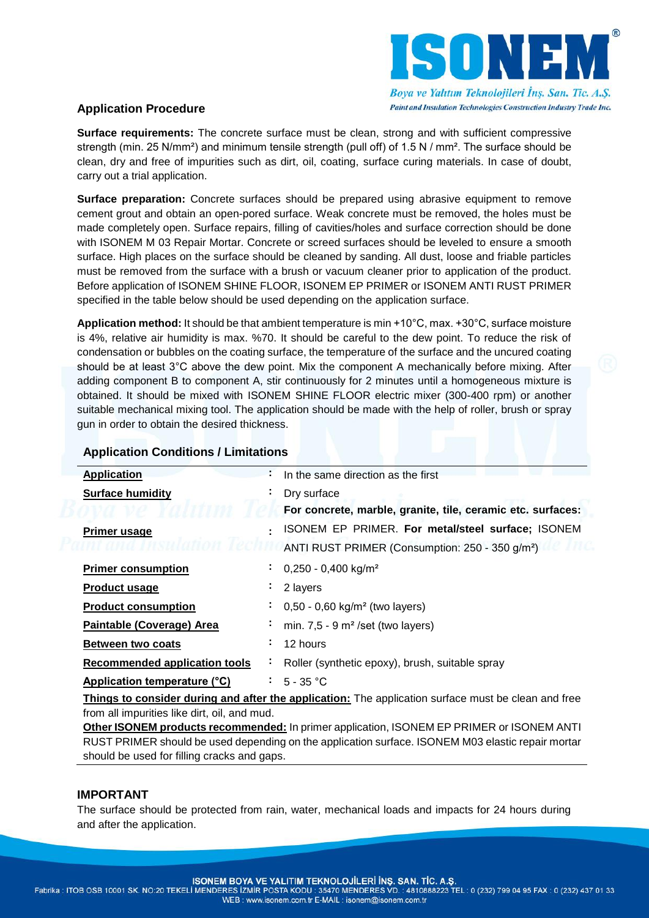

## **Application Procedure**

**Surface requirements:** The concrete surface must be clean, strong and with sufficient compressive strength (min. 25 N/mm<sup>2</sup>) and minimum tensile strength (pull off) of 1.5 N / mm<sup>2</sup>. The surface should be clean, dry and free of impurities such as dirt, oil, coating, surface curing materials. In case of doubt, carry out a trial application.

**Surface preparation:** Concrete surfaces should be prepared using abrasive equipment to remove cement grout and obtain an open-pored surface. Weak concrete must be removed, the holes must be made completely open. Surface repairs, filling of cavities/holes and surface correction should be done with ISONEM M 03 Repair Mortar. Concrete or screed surfaces should be leveled to ensure a smooth surface. High places on the surface should be cleaned by sanding. All dust, loose and friable particles must be removed from the surface with a brush or vacuum cleaner prior to application of the product. Before application of ISONEM SHINE FLOOR, ISONEM EP PRIMER or ISONEM ANTI RUST PRIMER specified in the table below should be used depending on the application surface.

**Application method:** It should be that ambient temperature is min +10°C, max. +30°C, surface moisture is 4%, relative air humidity is max. %70. It should be careful to the dew point. To reduce the risk of condensation or bubbles on the coating surface, the temperature of the surface and the uncured coating should be at least 3°C above the dew point. Mix the component A mechanically before mixing. After adding component B to component A, stir continuously for 2 minutes until a homogeneous mixture is obtained. It should be mixed with ISONEM SHINE FLOOR electric mixer (300-400 rpm) or another suitable mechanical mixing tool. The application should be made with the help of roller, brush or spray gun in order to obtain the desired thickness.

| <b>Application</b>                   | ÷. | In the same direction as the first                                                                         |
|--------------------------------------|----|------------------------------------------------------------------------------------------------------------|
| <b>Surface humidity</b>              |    | Dry surface                                                                                                |
|                                      |    | For concrete, marble, granite, tile, ceramic etc. surfaces:                                                |
| <b>Primer usage</b>                  | ٠  | ISONEM EP PRIMER. For metal/steel surface; ISONEM                                                          |
|                                      |    | ANTI RUST PRIMER (Consumption: 250 - 350 g/m <sup>2</sup> )                                                |
| <b>Primer consumption</b>            | ٠  | $0,250 - 0,400$ kg/m <sup>2</sup>                                                                          |
| <b>Product usage</b>                 | ٠  | 2 layers                                                                                                   |
| <b>Product consumption</b>           | ٠  | $0,50 - 0,60$ kg/m <sup>2</sup> (two layers)                                                               |
| Paintable (Coverage) Area            | ٠  | min. $7,5 - 9$ m <sup>2</sup> /set (two layers)                                                            |
| Between two coats                    | ٠  | 12 hours                                                                                                   |
| <b>Recommended application tools</b> | ٠  | Roller (synthetic epoxy), brush, suitable spray                                                            |
| Application temperature (°C)         | ÷. | 5 - 35 °C                                                                                                  |
|                                      |    | <b>Things to consider during and after the application:</b> The application surface must be clean and free |

# **Application Conditions / Limitations**

**Things to consider during and after the application:** The application surface must be clean and free from all impurities like dirt, oil, and mud.

**Other ISONEM products recommended:** In primer application, ISONEM EP PRIMER or ISONEM ANTI RUST PRIMER should be used depending on the application surface. ISONEM M03 elastic repair mortar should be used for filling cracks and gaps.

#### **IMPORTANT**

The surface should be protected from rain, water, mechanical loads and impacts for 24 hours during and after the application.

ISONEM BOYA VE YALITIM TEKNOLOJİLERİ İNŞ. SAN. TİC. A.Ş.

Fabrika : ITOB OSB 10001 SK. NO:20 TEKELI MENDERES IZMIR POSTA KODU : 35470 MENDERES VD. : 4810888223 TEL : 0 (232) 799 04 95 FAX : 0 (232) 437 01 33 WEB: www.isonem.com.tr E-MAIL: isonem@isonem.com.tr